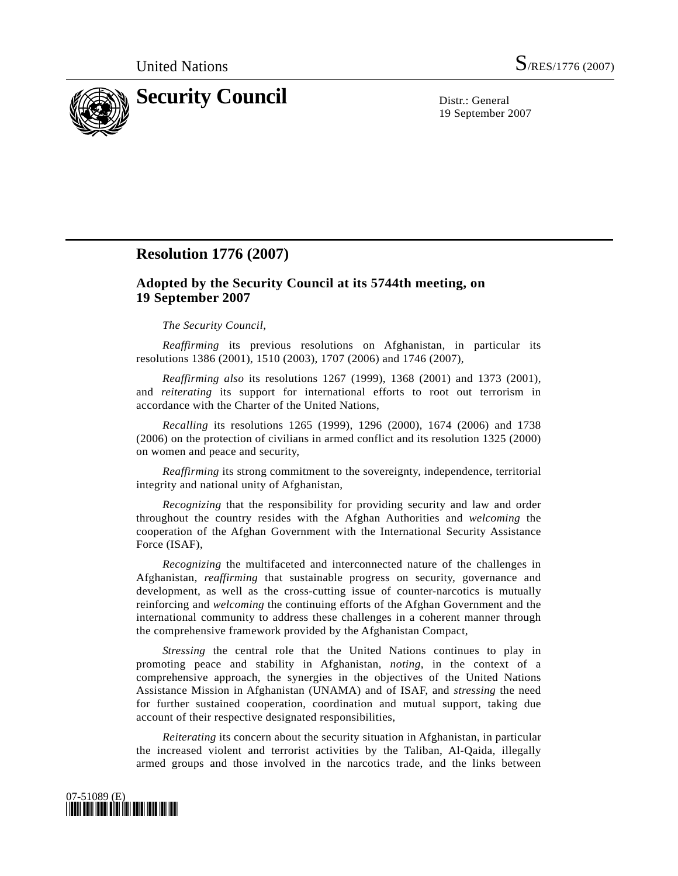

19 September 2007

## **Resolution 1776 (2007)**

## **Adopted by the Security Council at its 5744th meeting, on 19 September 2007**

## *The Security Council*,

*Reaffirming* its previous resolutions on Afghanistan, in particular its resolutions 1386 (2001), 1510 (2003), 1707 (2006) and 1746 (2007),

*Reaffirming also* its resolutions 1267 (1999), 1368 (2001) and 1373 (2001), and *reiterating* its support for international efforts to root out terrorism in accordance with the Charter of the United Nations,

*Recalling* its resolutions 1265 (1999), 1296 (2000), 1674 (2006) and 1738 (2006) on the protection of civilians in armed conflict and its resolution 1325 (2000) on women and peace and security,

*Reaffirming* its strong commitment to the sovereignty, independence, territorial integrity and national unity of Afghanistan,

*Recognizing* that the responsibility for providing security and law and order throughout the country resides with the Afghan Authorities and *welcoming* the cooperation of the Afghan Government with the International Security Assistance Force (ISAF),

*Recognizing* the multifaceted and interconnected nature of the challenges in Afghanistan, *reaffirming* that sustainable progress on security, governance and development, as well as the cross-cutting issue of counter-narcotics is mutually reinforcing and *welcoming* the continuing efforts of the Afghan Government and the international community to address these challenges in a coherent manner through the comprehensive framework provided by the Afghanistan Compact,

*Stressing* the central role that the United Nations continues to play in promoting peace and stability in Afghanistan, *noting*, in the context of a comprehensive approach, the synergies in the objectives of the United Nations Assistance Mission in Afghanistan (UNAMA) and of ISAF, and *stressing* the need for further sustained cooperation, coordination and mutual support, taking due account of their respective designated responsibilities,

*Reiterating* its concern about the security situation in Afghanistan, in particular the increased violent and terrorist activities by the Taliban, Al-Qaida, illegally armed groups and those involved in the narcotics trade, and the links between

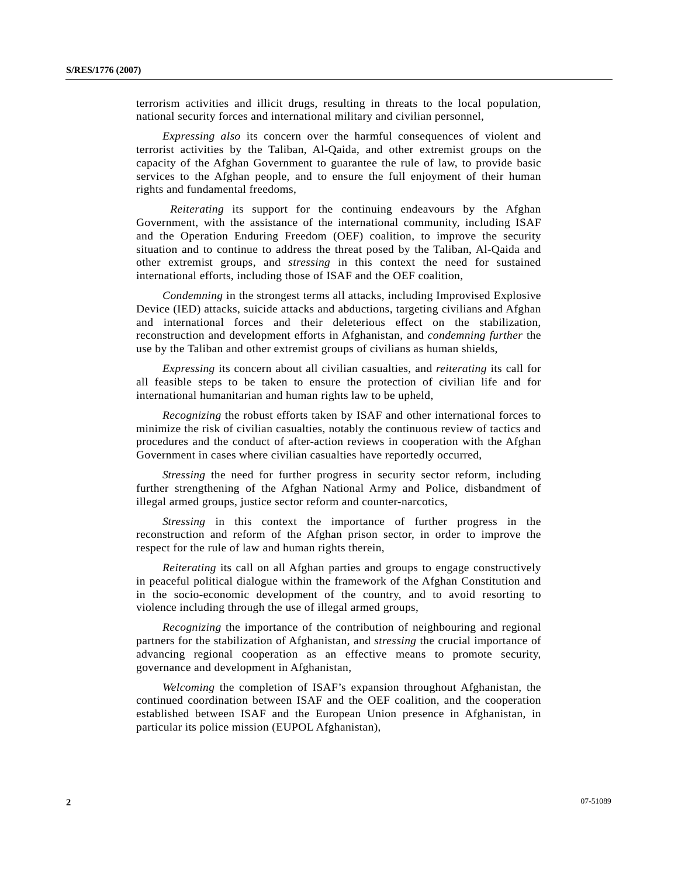terrorism activities and illicit drugs, resulting in threats to the local population, national security forces and international military and civilian personnel,

*Expressing also* its concern over the harmful consequences of violent and terrorist activities by the Taliban, Al-Qaida, and other extremist groups on the capacity of the Afghan Government to guarantee the rule of law, to provide basic services to the Afghan people, and to ensure the full enjoyment of their human rights and fundamental freedoms,

*Reiterating* its support for the continuing endeavours by the Afghan Government, with the assistance of the international community, including ISAF and the Operation Enduring Freedom (OEF) coalition, to improve the security situation and to continue to address the threat posed by the Taliban, Al-Qaida and other extremist groups, and *stressing* in this context the need for sustained international efforts, including those of ISAF and the OEF coalition,

 *Condemning* in the strongest terms all attacks, including Improvised Explosive Device (IED) attacks, suicide attacks and abductions, targeting civilians and Afghan and international forces and their deleterious effect on the stabilization, reconstruction and development efforts in Afghanistan, and *condemning further* the use by the Taliban and other extremist groups of civilians as human shields,

 *Expressing* its concern about all civilian casualties, and *reiterating* its call for all feasible steps to be taken to ensure the protection of civilian life and for international humanitarian and human rights law to be upheld,

 *Recognizing* the robust efforts taken by ISAF and other international forces to minimize the risk of civilian casualties, notably the continuous review of tactics and procedures and the conduct of after-action reviews in cooperation with the Afghan Government in cases where civilian casualties have reportedly occurred,

 *Stressing* the need for further progress in security sector reform, including further strengthening of the Afghan National Army and Police, disbandment of illegal armed groups, justice sector reform and counter-narcotics,

 *Stressing* in this context the importance of further progress in the reconstruction and reform of the Afghan prison sector, in order to improve the respect for the rule of law and human rights therein,

 *Reiterating* its call on all Afghan parties and groups to engage constructively in peaceful political dialogue within the framework of the Afghan Constitution and in the socio-economic development of the country, and to avoid resorting to violence including through the use of illegal armed groups,

 *Recognizing* the importance of the contribution of neighbouring and regional partners for the stabilization of Afghanistan, and *stressing* the crucial importance of advancing regional cooperation as an effective means to promote security, governance and development in Afghanistan,

 *Welcoming* the completion of ISAF's expansion throughout Afghanistan, the continued coordination between ISAF and the OEF coalition, and the cooperation established between ISAF and the European Union presence in Afghanistan, in particular its police mission (EUPOL Afghanistan),